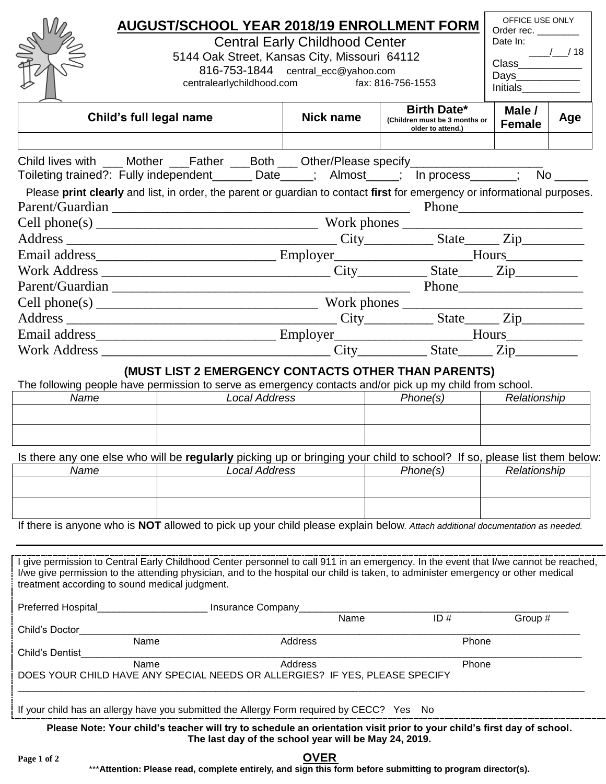|                                                                                                                                                                                                                                                                           | <b>AUGUST/SCHOOL YEAR 2018/19 ENROLLMENT FORM</b>                                                           |                                |                  |                                                                          | OFFICE USE ONLY<br>Order rec. _________   |                  |  |
|---------------------------------------------------------------------------------------------------------------------------------------------------------------------------------------------------------------------------------------------------------------------------|-------------------------------------------------------------------------------------------------------------|--------------------------------|------------------|--------------------------------------------------------------------------|-------------------------------------------|------------------|--|
|                                                                                                                                                                                                                                                                           | <b>Central Early Childhood Center</b>                                                                       | Date In:<br>$\frac{1}{2}$ / 18 |                  |                                                                          |                                           |                  |  |
|                                                                                                                                                                                                                                                                           | 5144 Oak Street, Kansas City, Missouri 64112                                                                |                                |                  |                                                                          |                                           | Class___________ |  |
|                                                                                                                                                                                                                                                                           | 816-753-1844 central_ecc@yahoo.com<br>fax: 816-756-1553<br>centralearlychildhood.com                        |                                |                  |                                                                          | Days_____________<br>Initials____________ |                  |  |
|                                                                                                                                                                                                                                                                           |                                                                                                             |                                |                  |                                                                          |                                           |                  |  |
| Child's full legal name                                                                                                                                                                                                                                                   |                                                                                                             |                                | <b>Nick name</b> | <b>Birth Date*</b><br>(Children must be 3 months or<br>older to attend.) | Male /<br><b>Female</b>                   | Age              |  |
|                                                                                                                                                                                                                                                                           |                                                                                                             |                                |                  |                                                                          |                                           |                  |  |
| Child lives with ___ Mother ___Father ___Both ___ Other/Please specify_________________<br>Toileting trained?: Fully independent_______ Date_____; Almost_____; In process______; No _____                                                                                |                                                                                                             |                                |                  |                                                                          |                                           |                  |  |
| Please print clearly and list, in order, the parent or guardian to contact first for emergency or informational purposes.                                                                                                                                                 |                                                                                                             |                                |                  |                                                                          |                                           |                  |  |
|                                                                                                                                                                                                                                                                           |                                                                                                             |                                |                  |                                                                          |                                           |                  |  |
|                                                                                                                                                                                                                                                                           |                                                                                                             |                                |                  |                                                                          |                                           |                  |  |
|                                                                                                                                                                                                                                                                           |                                                                                                             |                                |                  |                                                                          |                                           |                  |  |
|                                                                                                                                                                                                                                                                           |                                                                                                             |                                |                  |                                                                          |                                           |                  |  |
|                                                                                                                                                                                                                                                                           |                                                                                                             |                                |                  |                                                                          |                                           |                  |  |
|                                                                                                                                                                                                                                                                           |                                                                                                             |                                |                  |                                                                          |                                           |                  |  |
|                                                                                                                                                                                                                                                                           |                                                                                                             |                                |                  |                                                                          |                                           |                  |  |
|                                                                                                                                                                                                                                                                           |                                                                                                             |                                |                  |                                                                          |                                           |                  |  |
|                                                                                                                                                                                                                                                                           |                                                                                                             |                                |                  |                                                                          |                                           |                  |  |
|                                                                                                                                                                                                                                                                           |                                                                                                             |                                |                  |                                                                          |                                           |                  |  |
|                                                                                                                                                                                                                                                                           | (MUST LIST 2 EMERGENCY CONTACTS OTHER THAN PARENTS)                                                         |                                |                  |                                                                          |                                           |                  |  |
| The following people have permission to serve as emergency contacts and/or pick up my child from school.<br>Name                                                                                                                                                          | <b>Local Address</b>                                                                                        |                                |                  | $ $ Phone(s)                                                             | Relationship                              |                  |  |
|                                                                                                                                                                                                                                                                           |                                                                                                             |                                |                  |                                                                          |                                           |                  |  |
|                                                                                                                                                                                                                                                                           |                                                                                                             |                                |                  |                                                                          |                                           |                  |  |
|                                                                                                                                                                                                                                                                           |                                                                                                             |                                |                  |                                                                          |                                           |                  |  |
| Is there any one else who will be regularly picking up or bringing your child to school? If so, please list them below:<br>Name                                                                                                                                           | <b>Local Address</b>                                                                                        |                                |                  | Phone(s)                                                                 | Relationship                              |                  |  |
|                                                                                                                                                                                                                                                                           |                                                                                                             |                                |                  |                                                                          |                                           |                  |  |
|                                                                                                                                                                                                                                                                           |                                                                                                             |                                |                  |                                                                          |                                           |                  |  |
|                                                                                                                                                                                                                                                                           |                                                                                                             |                                |                  |                                                                          |                                           |                  |  |
| If there is anyone who is NOT allowed to pick up your child please explain below. Attach additional documentation as needed.                                                                                                                                              |                                                                                                             |                                |                  |                                                                          |                                           |                  |  |
|                                                                                                                                                                                                                                                                           |                                                                                                             |                                |                  |                                                                          |                                           |                  |  |
| I give permission to Central Early Childhood Center personnel to call 911 in an emergency. In the event that I/we cannot be reached,<br>I/we give permission to the attending physician, and to the hospital our child is taken, to administer emergency or other medical |                                                                                                             |                                |                  |                                                                          |                                           |                  |  |
| treatment according to sound medical judgment.                                                                                                                                                                                                                            |                                                                                                             |                                |                  |                                                                          |                                           |                  |  |
| Preferred Hospital                                                                                                                                                                                                                                                        | Insurance Company                                                                                           |                                |                  |                                                                          |                                           |                  |  |
|                                                                                                                                                                                                                                                                           |                                                                                                             |                                | Name             | ID#                                                                      | Group #                                   |                  |  |
| Child's Doctor<br>Name                                                                                                                                                                                                                                                    |                                                                                                             | Address                        |                  | Phone                                                                    |                                           |                  |  |
| Child's Dentist<br>Name                                                                                                                                                                                                                                                   |                                                                                                             | Address                        |                  |                                                                          |                                           |                  |  |
| DOES YOUR CHILD HAVE ANY SPECIAL NEEDS OR ALLERGIES? IF YES, PLEASE SPECIFY                                                                                                                                                                                               |                                                                                                             |                                |                  | Phone                                                                    |                                           |                  |  |
| If your child has an allergy have you submitted the Allergy Form required by CECC? Yes No                                                                                                                                                                                 |                                                                                                             |                                |                  |                                                                          |                                           |                  |  |
| Please Note: Your child's teacher will try to schedule an orientation visit prior to your child's first day of school.<br>The last day of the school year will be May 24, 2019.                                                                                           |                                                                                                             |                                |                  |                                                                          |                                           |                  |  |
| Page 1 of 2                                                                                                                                                                                                                                                               | *** Attention: Please read, complete entirely, and sign this form before submitting to program director(s). | <b>OVER</b>                    |                  |                                                                          |                                           |                  |  |